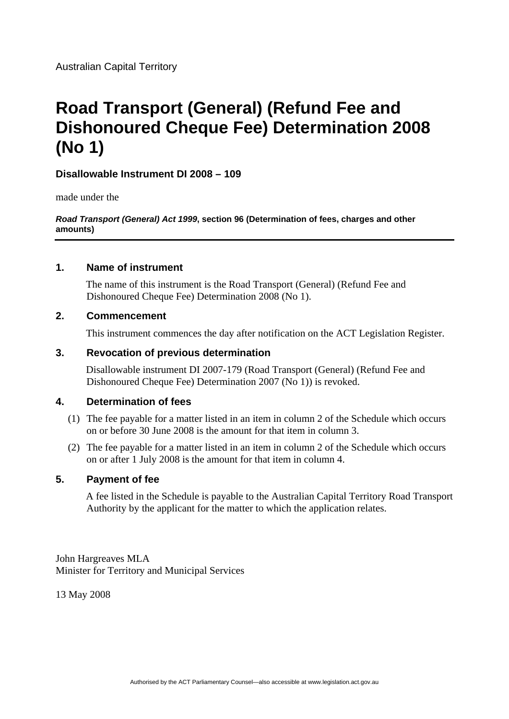# **Road Transport (General) (Refund Fee and Dishonoured Cheque Fee) Determination 2008 (No 1)**

# **Disallowable Instrument DI 2008 – 109**

made under the

*Road Transport (General) Act 1999***, section 96 (Determination of fees, charges and other amounts)** 

# **1. Name of instrument**

The name of this instrument is the Road Transport (General) (Refund Fee and Dishonoured Cheque Fee) Determination 2008 (No 1).

# **2. Commencement**

This instrument commences the day after notification on the ACT Legislation Register.

#### **3. Revocation of previous determination**

Disallowable instrument DI 2007-179 (Road Transport (General) (Refund Fee and Dishonoured Cheque Fee) Determination 2007 (No 1)) is revoked.

# **4. Determination of fees**

- (1) The fee payable for a matter listed in an item in column 2 of the Schedule which occurs on or before 30 June 2008 is the amount for that item in column 3.
- (2) The fee payable for a matter listed in an item in column 2 of the Schedule which occurs on or after 1 July 2008 is the amount for that item in column 4.

# **5. Payment of fee**

A fee listed in the Schedule is payable to the Australian Capital Territory Road Transport Authority by the applicant for the matter to which the application relates.

John Hargreaves MLA Minister for Territory and Municipal Services

13 May 2008